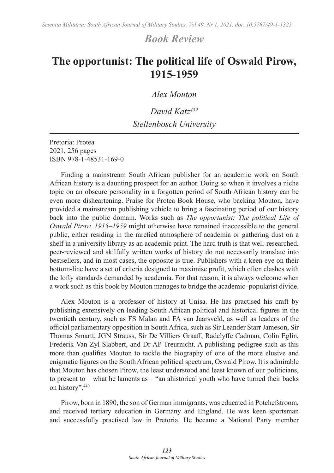## *Book Review*

## **The opportunist: The political life of Oswald Pirow, 1915-1959**

*Alex Mouton*

*David Katz439 Stellenbosch University*

Pretoria: Protea 2021, 256 pages ISBN 978-1-48531-169-0

Finding a mainstream South African publisher for an academic work on South African history is a daunting prospect for an author. Doing so when it involves a niche topic on an obscure personality in a forgotten period of South African history can be even more disheartening. Praise for Protea Book House, who backing Mouton, have provided a mainstream publishing vehicle to bring a fascinating period of our history back into the public domain. Works such as *The opportunist: The political Life of Oswald Pirow, 1915–1959* might otherwise have remained inaccessible to the general public, either residing in the rarefied atmosphere of academia or gathering dust on a shelf in a university library as an academic print. The hard truth is that well-researched, peer-reviewed and skilfully written works of history do not necessarily translate into bestsellers, and in most cases, the opposite is true. Publishers with a keen eye on their bottom-line have a set of criteria designed to maximise profit, which often clashes with the lofty standards demanded by academia. For that reason, it is always welcome when a work such as this book by Mouton manages to bridge the academic–popularist divide.

Alex Mouton is a professor of history at Unisa. He has practised his craft by publishing extensively on leading South African political and historical figures in the twentieth century, such as FS Malan and FA van Jaarsveld, as well as leaders of the official parliamentary opposition in South Africa, such as Sir Leander Starr Jameson, Sir Thomas Smartt, JGN Strauss, Sir De Villiers Graaff, Radclyffe Cadman, Colin Eglin, Frederik Van Zyl Slabbert, and Dr AP Treurnicht. A publishing pedigree such as this more than qualifies Mouton to tackle the biography of one of the more elusive and enigmatic figures on the South African political spectrum, Oswald Pirow. It is admirable that Mouton has chosen Pirow, the least understood and least known of our politicians, to present to – what he laments as – "an ahistorical youth who have turned their backs on history".440

Pirow, born in 1890, the son of German immigrants, was educated in Potchefstroom, and received tertiary education in Germany and England. He was keen sportsman and successfully practised law in Pretoria. He became a National Party member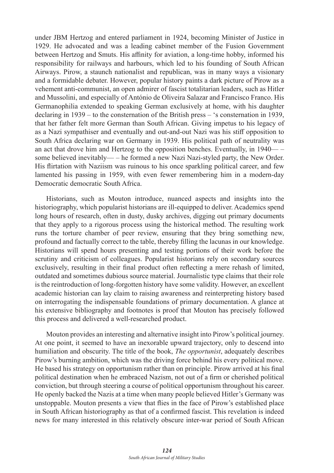under JBM Hertzog and entered parliament in 1924, becoming Minister of Justice in 1929. He advocated and was a leading cabinet member of the Fusion Government between Hertzog and Smuts. His affinity for aviation, a long-time hobby, informed his responsibility for railways and harbours, which led to his founding of South African Airways. Pirow, a staunch nationalist and republican, was in many ways a visionary and a formidable debater. However, popular history paints a dark picture of Pirow as a vehement anti-communist, an open admirer of fascist totalitarian leaders, such as Hitler and Mussolini, and especially of António de Oliveira Salazar and Francisco Franco. His Germanophilia extended to speaking German exclusively at home, with his daughter declaring in 1939 – to the consternation of the British press – 's consternation in 1939, that her father felt more German than South African. Giving impetus to his legacy of as a Nazi sympathiser and eventually and out-and-out Nazi was his stiff opposition to South Africa declaring war on Germany in 1939. His political path of neutrality was an act that drove him and Hertzog to the opposition benches. Eventually, in 1940— – some believed inevitably— – he formed a new Nazi Nazi-styled party, the New Order. His flirtation with Naziism was ruinous to his once sparkling political career, and few lamented his passing in 1959, with even fewer remembering him in a modern-day Democratic democratic South Africa.

Historians, such as Mouton introduce, nuanced aspects and insights into the historiography, which popularist historians are ill-equipped to deliver. Academics spend long hours of research, often in dusty, dusky archives, digging out primary documents that they apply to a rigorous process using the historical method. The resulting work runs the torture chamber of peer review, ensuring that they bring something new, profound and factually correct to the table, thereby filling the lacunas in our knowledge. Historians will spend hours presenting and testing portions of their work before the scrutiny and criticism of colleagues. Popularist historians rely on secondary sources exclusively, resulting in their final product often reflecting a mere rehash of limited, outdated and sometimes dubious source material. Journalistic type claims that their role is the reintroduction of long-forgotten history have some validity. However, an excellent academic historian can lay claim to raising awareness and reinterpreting history based on interrogating the indispensable foundations of primary documentation. A glance at his extensive bibliography and footnotes is proof that Mouton has precisely followed this process and delivered a well-researched product.

Mouton provides an interesting and alternative insight into Pirow's political journey. At one point, it seemed to have an inexorable upward trajectory, only to descend into humiliation and obscurity. The title of the book, *The opportunist*, adequately describes Pirow's burning ambition, which was the driving force behind his every political move. He based his strategy on opportunism rather than on principle. Pirow arrived at his final political destination when he embraced Nazism, not out of a firm or cherished political conviction, but through steering a course of political opportunism throughout his career. He openly backed the Nazis at a time when many people believed Hitler's Germany was unstoppable. Mouton presents a view that flies in the face of Pirow's established place in South African historiography as that of a confirmed fascist. This revelation is indeed news for many interested in this relatively obscure inter-war period of South African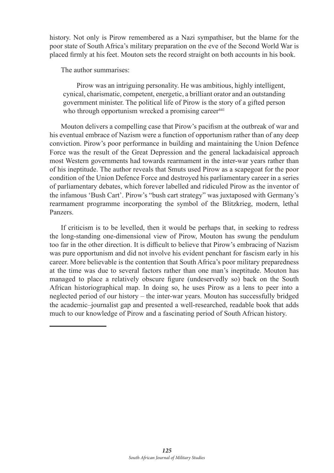history. Not only is Pirow remembered as a Nazi sympathiser, but the blame for the poor state of South Africa's military preparation on the eve of the Second World War is placed firmly at his feet. Mouton sets the record straight on both accounts in his book.

The author summarises:

Pirow was an intriguing personality. He was ambitious, highly intelligent, cynical, charismatic, competent, energetic, a brilliant orator and an outstanding government minister. The political life of Pirow is the story of a gifted person who through opportunism wrecked a promising career $441$ 

Mouton delivers a compelling case that Pirow's pacifism at the outbreak of war and his eventual embrace of Nazism were a function of opportunism rather than of any deep conviction. Pirow's poor performance in building and maintaining the Union Defence Force was the result of the Great Depression and the general lackadaisical approach most Western governments had towards rearmament in the inter-war years rather than of his ineptitude. The author reveals that Smuts used Pirow as a scapegoat for the poor condition of the Union Defence Force and destroyed his parliamentary career in a series of parliamentary debates, which forever labelled and ridiculed Pirow as the inventor of the infamous 'Bush Cart'. Pirow's "bush cart strategy" was juxtaposed with Germany's rearmament programme incorporating the symbol of the Blitzkrieg, modern, lethal Panzers.

If criticism is to be levelled, then it would be perhaps that, in seeking to redress the long-standing one-dimensional view of Pirow, Mouton has swung the pendulum too far in the other direction. It is difficult to believe that Pirow's embracing of Nazism was pure opportunism and did not involve his evident penchant for fascism early in his career. More believable is the contention that South Africa's poor military preparedness at the time was due to several factors rather than one man's ineptitude. Mouton has managed to place a relatively obscure figure (undeservedly so) back on the South African historiographical map. In doing so, he uses Pirow as a lens to peer into a neglected period of our history – the inter-war years. Mouton has successfully bridged the academic–journalist gap and presented a well-researched, readable book that adds much to our knowledge of Pirow and a fascinating period of South African history.